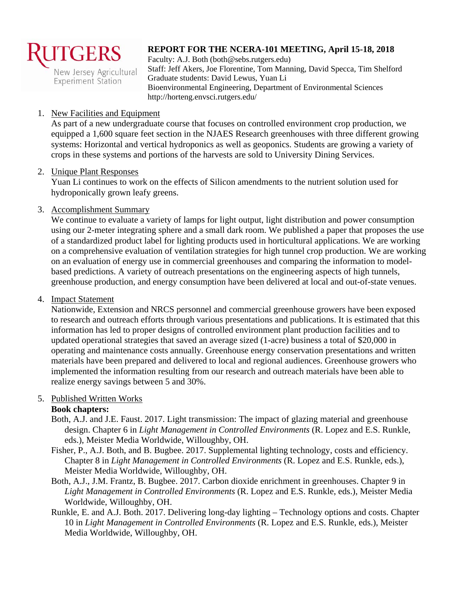

**Experiment Station** 

# **REPORT FOR THE NCERA-101 MEETING, April 15-18, 2018**

Faculty: A.J. Both (both@sebs.rutgers.edu) Staff: Jeff Akers, Joe Florentine, Tom Manning, David Specca, Tim Shelford Graduate students: David Lewus, Yuan Li Bioenvironmental Engineering, Department of Environmental Sciences http://horteng.envsci.rutgers.edu/

#### 1. New Facilities and Equipment

As part of a new undergraduate course that focuses on controlled environment crop production, we equipped a 1,600 square feet section in the NJAES Research greenhouses with three different growing systems: Horizontal and vertical hydroponics as well as geoponics. Students are growing a variety of crops in these systems and portions of the harvests are sold to University Dining Services.

#### 2. Unique Plant Responses

Yuan Li continues to work on the effects of Silicon amendments to the nutrient solution used for hydroponically grown leafy greens.

#### 3. Accomplishment Summary

We continue to evaluate a variety of lamps for light output, light distribution and power consumption using our 2-meter integrating sphere and a small dark room. We published a paper that proposes the use of a standardized product label for lighting products used in horticultural applications. We are working on a comprehensive evaluation of ventilation strategies for high tunnel crop production. We are working on an evaluation of energy use in commercial greenhouses and comparing the information to modelbased predictions. A variety of outreach presentations on the engineering aspects of high tunnels, greenhouse production, and energy consumption have been delivered at local and out-of-state venues.

#### 4. Impact Statement

Nationwide, Extension and NRCS personnel and commercial greenhouse growers have been exposed to research and outreach efforts through various presentations and publications. It is estimated that this information has led to proper designs of controlled environment plant production facilities and to updated operational strategies that saved an average sized (1-acre) business a total of \$20,000 in operating and maintenance costs annually. Greenhouse energy conservation presentations and written materials have been prepared and delivered to local and regional audiences. Greenhouse growers who implemented the information resulting from our research and outreach materials have been able to realize energy savings between 5 and 30%.

# 5. Published Written Works

# **Book chapters:**

- Both, A.J. and J.E. Faust. 2017. Light transmission: The impact of glazing material and greenhouse design. Chapter 6 in *Light Management in Controlled Environments* (R. Lopez and E.S. Runkle, eds.), Meister Media Worldwide, Willoughby, OH.
- Fisher, P., A.J. Both, and B. Bugbee. 2017. Supplemental lighting technology, costs and efficiency. Chapter 8 in *Light Management in Controlled Environments* (R. Lopez and E.S. Runkle, eds.), Meister Media Worldwide, Willoughby, OH.
- Both, A.J., J.M. Frantz, B. Bugbee. 2017. Carbon dioxide enrichment in greenhouses. Chapter 9 in *Light Management in Controlled Environments* (R. Lopez and E.S. Runkle, eds.), Meister Media Worldwide, Willoughby, OH.
- Runkle, E. and A.J. Both. 2017. Delivering long-day lighting Technology options and costs. Chapter 10 in *Light Management in Controlled Environments* (R. Lopez and E.S. Runkle, eds.), Meister Media Worldwide, Willoughby, OH.